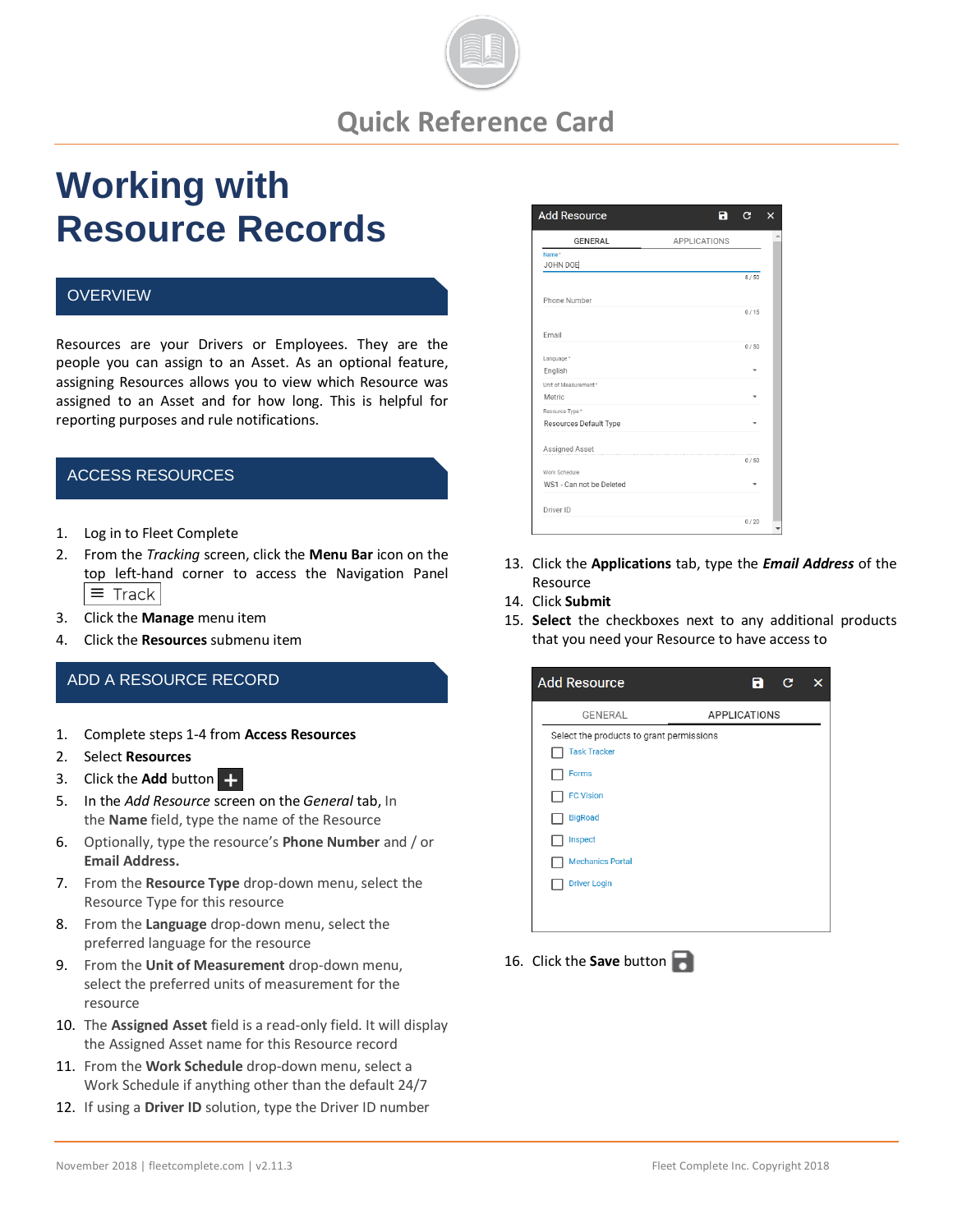

## **Quick Reference Card**

# **Working with Resource Records**

#### **OVERVIEW**

Resources are your Drivers or Employees. They are the people you can assign to an Asset. As an optional feature, assigning Resources allows you to view which Resource was assigned to an Asset and for how long. This is helpful for reporting purposes and rule notifications.

### ACCESS RESOURCES

- 1. Log in to Fleet Complete
- 2. From the *Tracking* screen, click the **Menu Bar** icon on the top left-hand corner to access the Navigation Panel  $\equiv$  Track
- 3. Click the **Manage** menu item
- 4. Click the **Resources** submenu item

#### ADD A RESOURCE RECORD

- 1. Complete steps 1-4 from **Access Resources**
- 2. Select **Resources**
- 3. Click the **Add** button
- 5. In the *Add Resource* screen on the *General* tab, In the **Name** field, type the name of the Resource
- 6. Optionally, type the resource's **Phone Number** and / or **Email Address.**
- 7. From the **Resource Type** drop-down menu, select the Resource Type for this resource
- 8. From the **Language** drop-down menu, select the preferred language for the resource
- 9. From the **Unit of Measurement** drop-down menu, select the preferred units of measurement for the resource
- 10. The **Assigned Asset** field is a read-only field. It will display the Assigned Asset name for this Resource record
- 11. From the **Work Schedule** drop-down menu, select a Work Schedule if anything other than the default 24/7
- 12. If using a **Driver ID** solution, type the Driver ID number



- 13. Click the **Applications** tab, type the *Email Address* of the Resource
- 14. Click **Submit**
- 15. **Select** the checkboxes next to any additional products that you need your Resource to have access to

| <b>Add Resource</b>                      | R                   | c | × |
|------------------------------------------|---------------------|---|---|
| GENERAL                                  | <b>APPLICATIONS</b> |   |   |
| Select the products to grant permissions |                     |   |   |
| <b>Task Tracker</b>                      |                     |   |   |
| <b>Forms</b>                             |                     |   |   |
| <b>FC Vision</b>                         |                     |   |   |
| <b>BigRoad</b>                           |                     |   |   |
| Inspect                                  |                     |   |   |
| <b>Mechanics Portal</b>                  |                     |   |   |
| <b>Driver Login</b>                      |                     |   |   |
|                                          |                     |   |   |
|                                          |                     |   |   |

16. Click the **Save** button